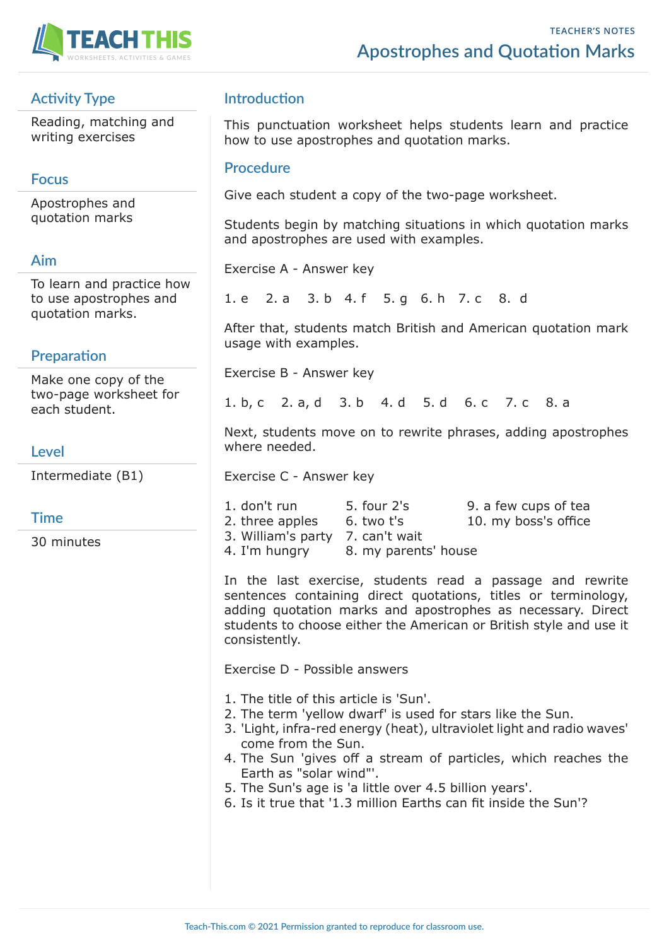

# **Activity Type**

Reading, matching and writing exercises

## **Focus**

Apostrophes and quotation marks

### **Aim**

To learn and practice how to use apostrophes and quotation marks.

## **Preparation**

Make one copy of the two-page worksheet for each student.

### **Level**

Intermediate (B1)

### **Time**

30 minutes

## **Introduction**

This punctuation worksheet helps students learn and practice how to use apostrophes and quotation marks.

#### **Procedure**

Give each student a copy of the two-page worksheet.

Students begin by matching situations in which quotation marks and apostrophes are used with examples.

Exercise A - Answer key

1. e 2. a 3. b 4. f 5. g 6. h 7. c 8. d

After that, students match British and American quotation mark usage with examples.

Exercise B - Answer key

1. b, c 2. a, d 3. b 4. d 5. d 6. c 7. c 8. a

Next, students move on to rewrite phrases, adding apostrophes where needed.

Exercise C - Answer key

| 1. don't run                     | 5. four 2's          | 9. a few cups of tea |
|----------------------------------|----------------------|----------------------|
| 2. three apples                  | 6. two t's           | 10. my boss's office |
| 3. William's party 7. can't wait |                      |                      |
| 4. I'm hungry                    | 8. my parents' house |                      |

In the last exercise, students read a passage and rewrite sentences containing direct quotations, titles or terminology, adding quotation marks and apostrophes as necessary. Direct students to choose either the American or British style and use it consistently.

Exercise D - Possible answers

- 1. The title of this article is 'Sun'.
- 2. The term 'yellow dwarf' is used for stars like the Sun.
- 3. 'Light, infra-red energy (heat), ultraviolet light and radio waves' come from the Sun.
- 4. The Sun 'gives off a stream of particles, which reaches the Earth as "solar wind"'.
- 5. The Sun's age is 'a little over 4.5 billion years'.
- 6. Is it true that '1.3 million Earths can fit inside the Sun'?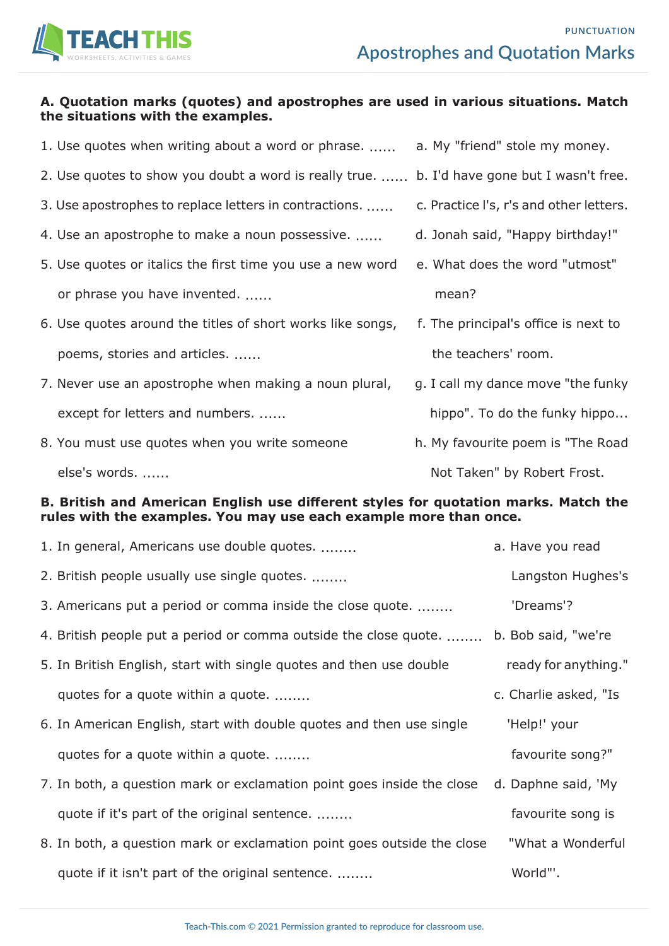

#### **A. Quotation marks (quotes) and apostrophes are used in various situations. Match the situations with the examples.**

| 1. Use quotes when writing about a word or phrase.         | a. My "friend" stole my money.          |
|------------------------------------------------------------|-----------------------------------------|
| 2. Use quotes to show you doubt a word is really true.     | b. I'd have gone but I wasn't free.     |
| 3. Use apostrophes to replace letters in contractions.     | c. Practice I's, r's and other letters. |
| 4. Use an apostrophe to make a noun possessive.            | d. Jonah said, "Happy birthday!"        |
| 5. Use quotes or italics the first time you use a new word | e. What does the word "utmost"          |
| or phrase you have invented.                               | mean?                                   |
| 6. Use quotes around the titles of short works like songs, | f. The principal's office is next to    |
| poems, stories and articles.                               | the teachers' room.                     |
| 7. Never use an apostrophe when making a noun plural,      | g. I call my dance move "the funky      |
| except for letters and numbers.                            | hippo". To do the funky hippo           |
| 8. You must use quotes when you write someone              | h. My favourite poem is "The Road       |
|                                                            |                                         |

else's words. ...... Not Taken" by Robert Frost.

#### **B. British and American English use different styles for quotation marks. Match the rules with the examples. You may use each example more than once.**

| 1. In general, Americans use double quotes.                             | a. Have you read      |
|-------------------------------------------------------------------------|-----------------------|
| 2. British people usually use single quotes.                            | Langston Hughes's     |
| 3. Americans put a period or comma inside the close quote.              | 'Dreams'?             |
| 4. British people put a period or comma outside the close quote.        | b. Bob said, "we're   |
| 5. In British English, start with single quotes and then use double     | ready for anything."  |
| quotes for a quote within a quote.                                      | c. Charlie asked, "Is |
| 6. In American English, start with double quotes and then use single    | 'Help!' your          |
| quotes for a quote within a quote.                                      | favourite song?"      |
| 7. In both, a question mark or exclamation point goes inside the close  | d. Daphne said, 'My   |
| quote if it's part of the original sentence.                            | favourite song is     |
| 8. In both, a question mark or exclamation point goes outside the close | "What a Wonderful     |
| quote if it isn't part of the original sentence.                        | World"'.              |